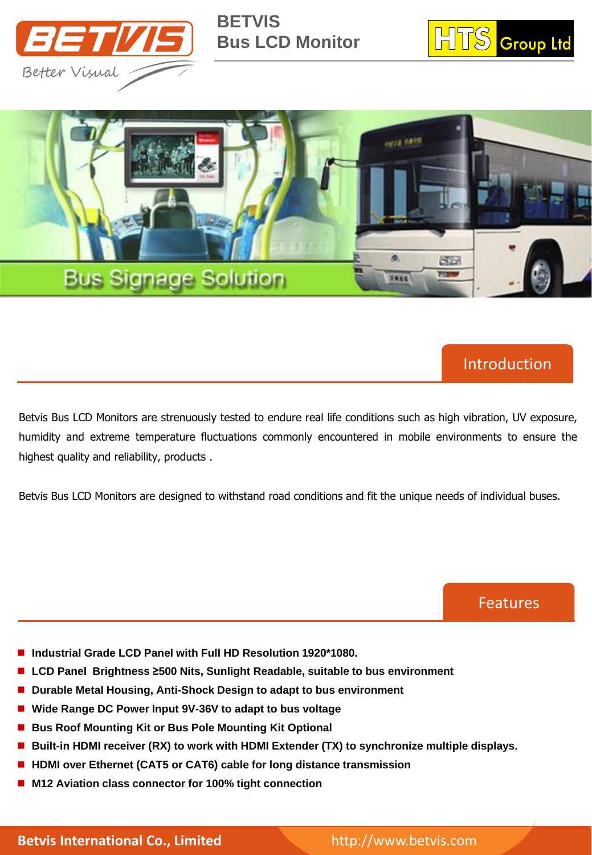

**BETVIS Bus LCD Monitor**





## Introduction

Betvis Bus LCD Monitors are strenuously tested to endure real life conditions such as high vibration, UV exposure, humidity and extreme temperature fluctuations commonly encountered in mobile environments to ensure the highest quality and reliability, products .

Betvis Bus LCD Monitors are designed to withstand road conditions and fit the unique needs of individual buses.

Features

- **Industrial Grade LCD Panel with Full HD Resolution 1920\*1080.**
- **LCD Panel Brightness ≥500 Nits, Sunlight Readable, suitable to bus environment**
- Durable Metal Housing, Anti-Shock Design to adapt to bus environment
- **Wide Range DC Power Input 9V-36V to adapt to bus voltage**
- **Bus Roof Mounting Kit or Bus Pole Mounting Kit Optional**
- **Built-in HDMI receiver (RX) to work with HDMI Extender (TX) to synchronize multiple displays.**
- HDMI over Ethernet (CAT5 or CAT6) cable for long distance transmission
- **M12 Aviation class connector for 100% tight connection**

**Betvis International Co., Limited** http://www.betvis.com